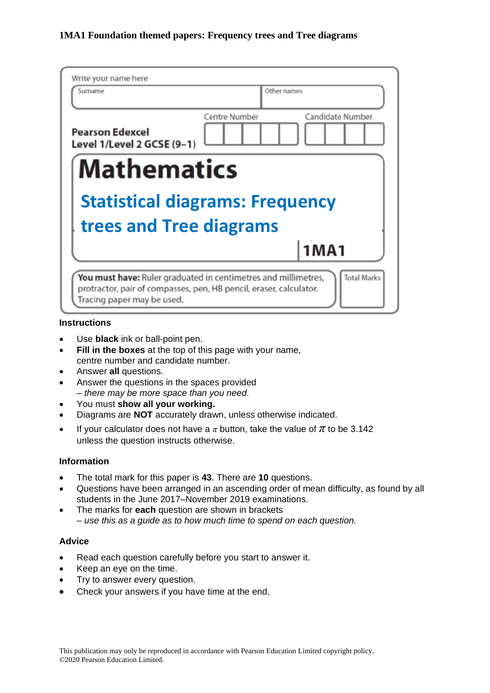| Write your name here                                 |               |                  |
|------------------------------------------------------|---------------|------------------|
| Surname                                              | Other names   |                  |
| <b>Pearson Edexcel</b><br>Level 1/Level 2 GCSE (9-1) | Centre Number | Candidate Number |
| <b>Mathematics</b>                                   |               |                  |
|                                                      |               |                  |
| <b>Statistical diagrams: Frequency</b>               |               |                  |
| trees and Tree diagrams                              |               |                  |
|                                                      |               | <b>1MA1</b>      |

#### **Instructions**

- Use **black** ink or ball-point pen.
- **Fill in the boxes** at the top of this page with your name, centre number and candidate number.
- Answer **all** questions.
- Answer the questions in the spaces provided *– there may be more space than you need.*
- You must **show all your working.**
- Diagrams are **NOT** accurately drawn, unless otherwise indicated.
- If your calculator does not have a  $\pi$  button, take the value of  $\pi$  to be 3.142 unless the question instructs otherwise.

#### **Information**

- The total mark for this paper is **43**. There are **10** questions.
- Questions have been arranged in an ascending order of mean difficulty, as found by all students in the June 2017–November 2019 examinations.
- The marks for **each** question are shown in brackets *– use this as a guide as to how much time to spend on each question.*

#### **Advice**

- Read each question carefully before you start to answer it.
- Keep an eye on the time.
- Try to answer every question.
- Check your answers if you have time at the end.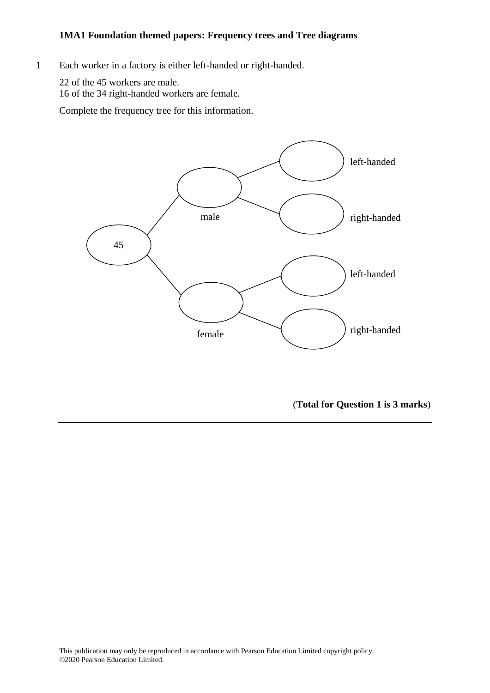**1** Each worker in a factory is either left-handed or right-handed. **14** Each worker in <sup>a</sup> factory is either left-handed or right-handed.

22 of the 45 workers are male. 22 of the 45 workers are male. 16 of the 34 right-handed workers are female. 16 of the 34 right-handed workers are female.

Complete the frequency tree for this information. Complete the frequency tree for this information.



(**Total for Question 1 is 3 marks**)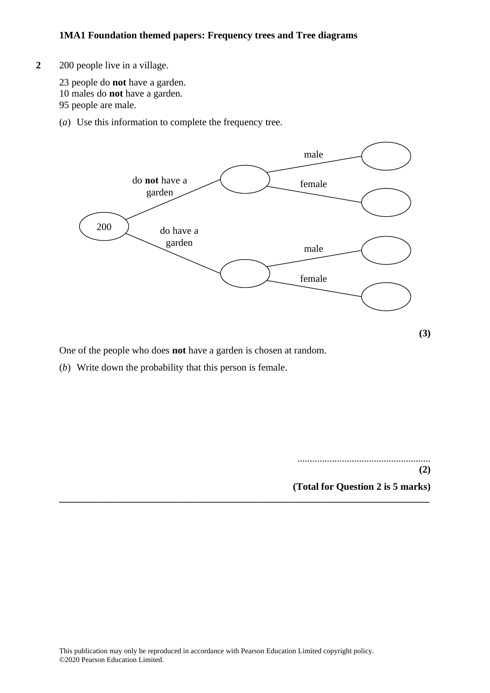# **2** 200 people live in a village. **12** 200 people live in <sup>a</sup> village.

23 people do **not** have a garden. 23 people do **not** have <sup>a</sup> garden. 10 males do **not** have a garden. 10 males do **not** have <sup>a</sup> garden.

95 people are male. 95 people are male.

(*a*) Use this information to complete the frequency tree. (a) Use this information to complete the frequency tree.



**\_\_\_\_\_\_\_\_\_\_\_\_\_\_\_\_\_\_\_\_\_\_\_\_\_\_\_\_\_\_\_\_\_\_\_\_\_\_\_\_\_\_\_\_\_\_\_\_\_\_\_\_\_\_\_\_\_\_\_\_\_\_\_\_\_\_\_\_\_\_\_\_\_\_\_**

One of the people who does **not** have a garden is chosen at random.

(*b*) Write down the probability that this person is female. (b) Write down the probability that this person is female.

...................................................... ...................................................... **(2)**

**(2)**

**(Total for Question 2 is 5 marks) (Total for Question 12 is 5 marks)**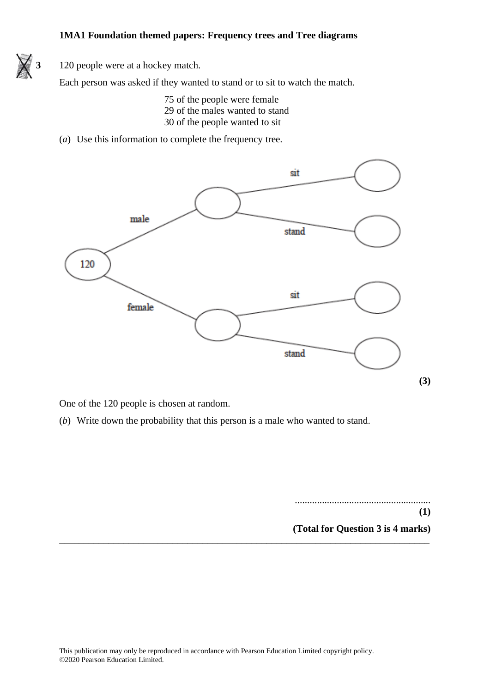

**3** 120 people were at a hockey match.

Each person was asked if they wanted to stand or to sit to watch the match.

- 75 of the people were female 29 of the males wanted to stand 30 of the people wanted to sit
- (*a*) Use this information to complete the frequency tree.



One of the 120 people is chosen at random.

(*b*) Write down the probability that this person is a male who wanted to stand.

....................................................... **(1) (Total for Question 3 is 4 marks)**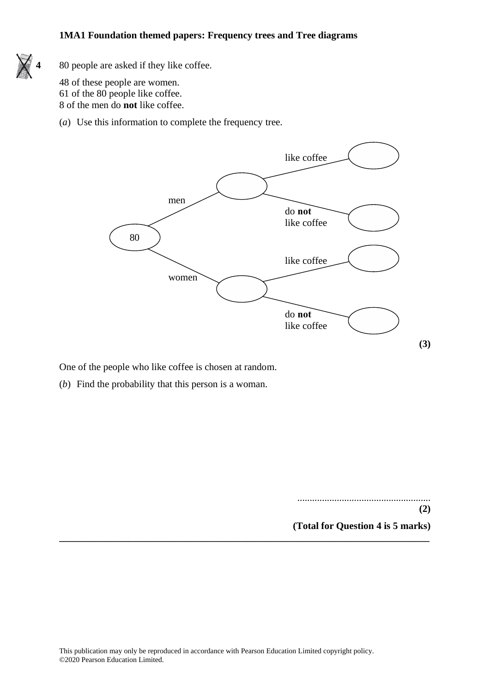

**4** 80 people are asked if they like coffee. **17** 80 people are asked if they like coffee.

48 of these people are women. 48 of these people are women. 61 of the 80 people like coffee. 61 of the 80 people like coffee. 8 of the men do **not** like coffee. 8 of the men do **not** like coffee.

(*a*) Use this information to complete the frequency tree. (a) Use this information to complete the frequency tree.



One of the people who like coffee is chosen at random. One of the people who like coffee is chosen at random.

(*b*) Find the probability that this person is a woman. (b) Find the probability that this person is <sup>a</sup> woman.

...................................................... **(2) (2) (Total for Question 4 is 5 marks) (Total for Question 17 is 5 marks)**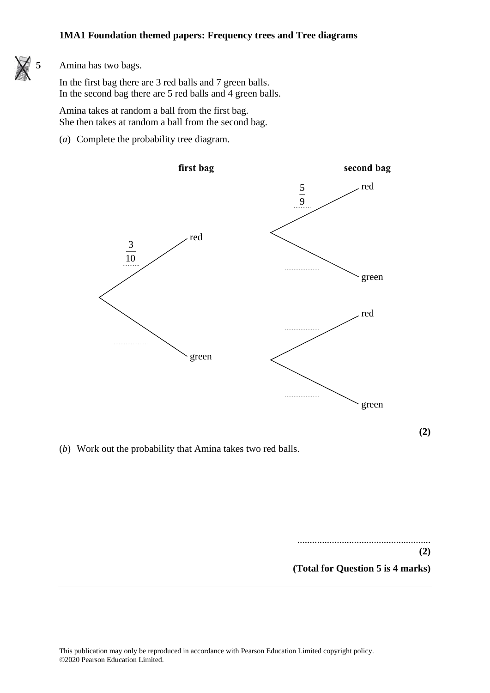

#### **5** Amina has two bags. **27** Amina has two bags.

In the first bag there are 3 red balls and 7 green balls. In the first bag there are 3 red balls and 7 green balls. In the second bag there are 5 red balls and 4 green balls. In the second bag there are 5 red balls and 4 green balls.

Amina takes at random a ball from the first bag. She then takes at random a ball from the second bag. She then takes at random <sup>a</sup> ball from the second bag.

(*a*) Complete the probability tree diagram.



**(2)**

(*b*) Work out the probability that Amina takes two red balls. (b) Work out the probability that Amina takes two red balls.

......................................................  $(2)$ **(Total for Question 5 is 4 marks)**

**(Total for Question 27 is 4 marks)**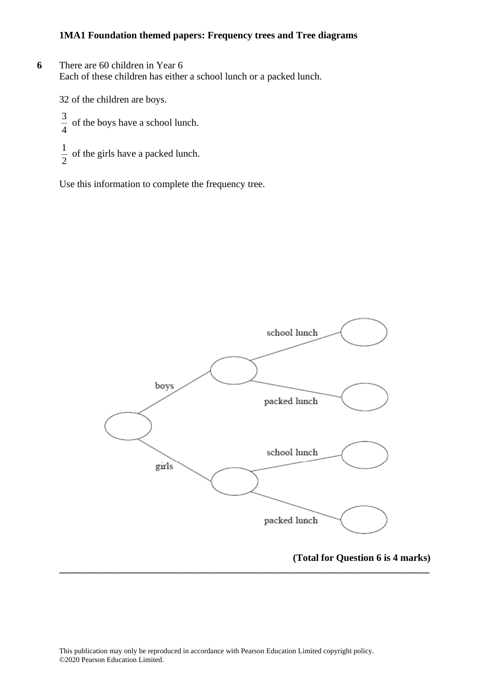**6** There are 60 children in Year 6 Each of these children has either a school lunch or a packed lunch.

32 of the children are boys.

4  $\frac{3}{1}$  of the boys have a school lunch. 2  $\frac{1}{2}$  of the girls have a packed lunch.

Use this information to complete the frequency tree.



**\_\_\_\_\_\_\_\_\_\_\_\_\_\_\_\_\_\_\_\_\_\_\_\_\_\_\_\_\_\_\_\_\_\_\_\_\_\_\_\_\_\_\_\_\_\_\_\_\_\_\_\_\_\_\_\_\_\_\_\_\_\_\_\_\_\_\_\_\_\_\_\_\_\_\_**

### **(Total for Question 6 is 4 marks)**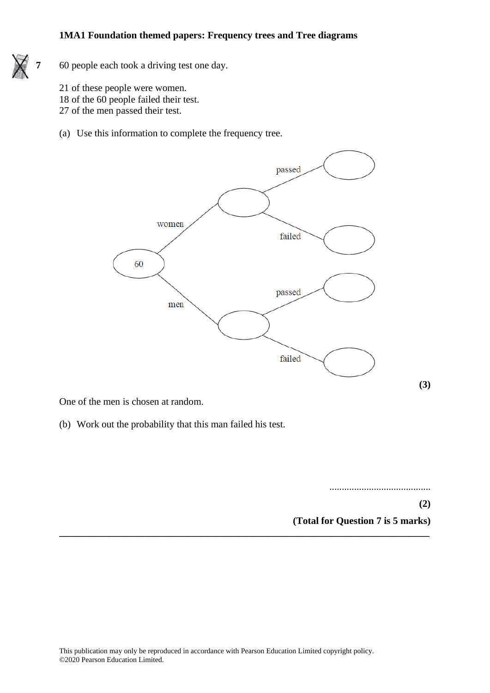

**7** 60 people each took a driving test one day.

- 21 of these people were women.
- 18 of the 60 people failed their test.
- 27 of the men passed their test.
- (a) Use this information to complete the frequency tree.



One of the men is chosen at random.

(b) Work out the probability that this man failed his test.

.........................................

**(2) (Total for Question 7 is 5 marks)**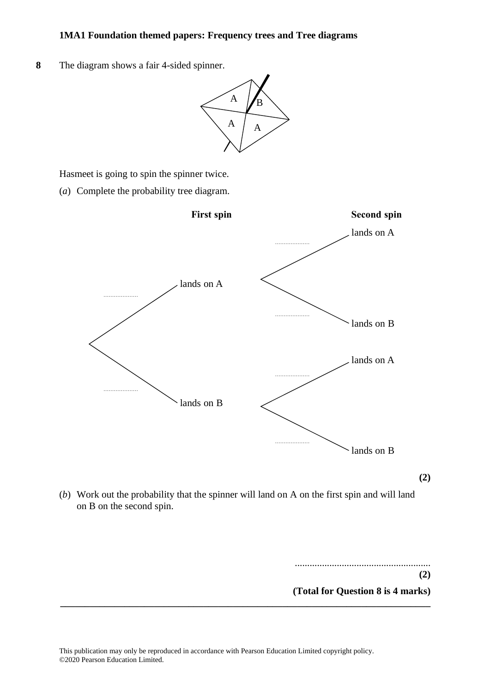**8** The diagram shows a fair 4-sided spinner. **22** The diagram shows <sup>a</sup> fair 4-sided spinner. **22** The diagram shows <sup>a</sup> fair 4-sided spinner.



Hasmeet is going to spin the spinner twice. Hasmeet is going to spin the spinner twice. Hasmeet is going to spin the spinner twice.

(*a*) Complete the probability tree diagram. (a) Complete the probability tree diagram. (a) Complete the probability tree diagram.



(b) Work out the probability that the spinner will land on A on the first spin and will land on  $B$  on the second spin. work out the probability

....................................................... **(2) (Total for Question 8 is 4 marks)** ....................................................... **\_\_\_\_\_\_\_\_\_\_\_\_\_\_\_\_\_\_\_\_\_\_\_\_\_\_\_\_\_\_\_\_\_\_\_\_\_\_\_\_\_\_\_\_\_\_\_\_\_\_\_\_\_\_\_\_\_\_\_\_\_\_\_\_\_\_\_\_\_\_\_\_\_\_\_**

**(2)**

**(2)**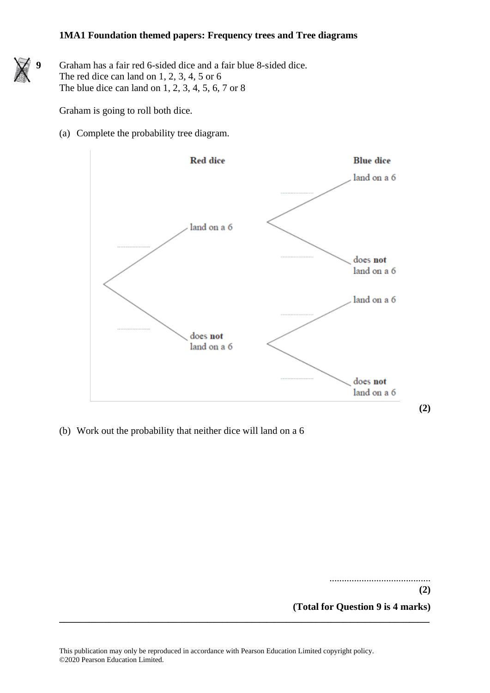Graham has a fair red 6-sided dice and a fair blue 8-sided dice. The red dice can land on 1, 2, 3, 4, 5 or 6 The blue dice can land on 1, 2, 3, 4, 5, 6, 7 or 8

Graham is going to roll both dice.

(a) Complete the probability tree diagram.



(b) Work out the probability that neither dice will land on a 6

......................................... **(2)**

**(Total for Question 9 is 4 marks)**